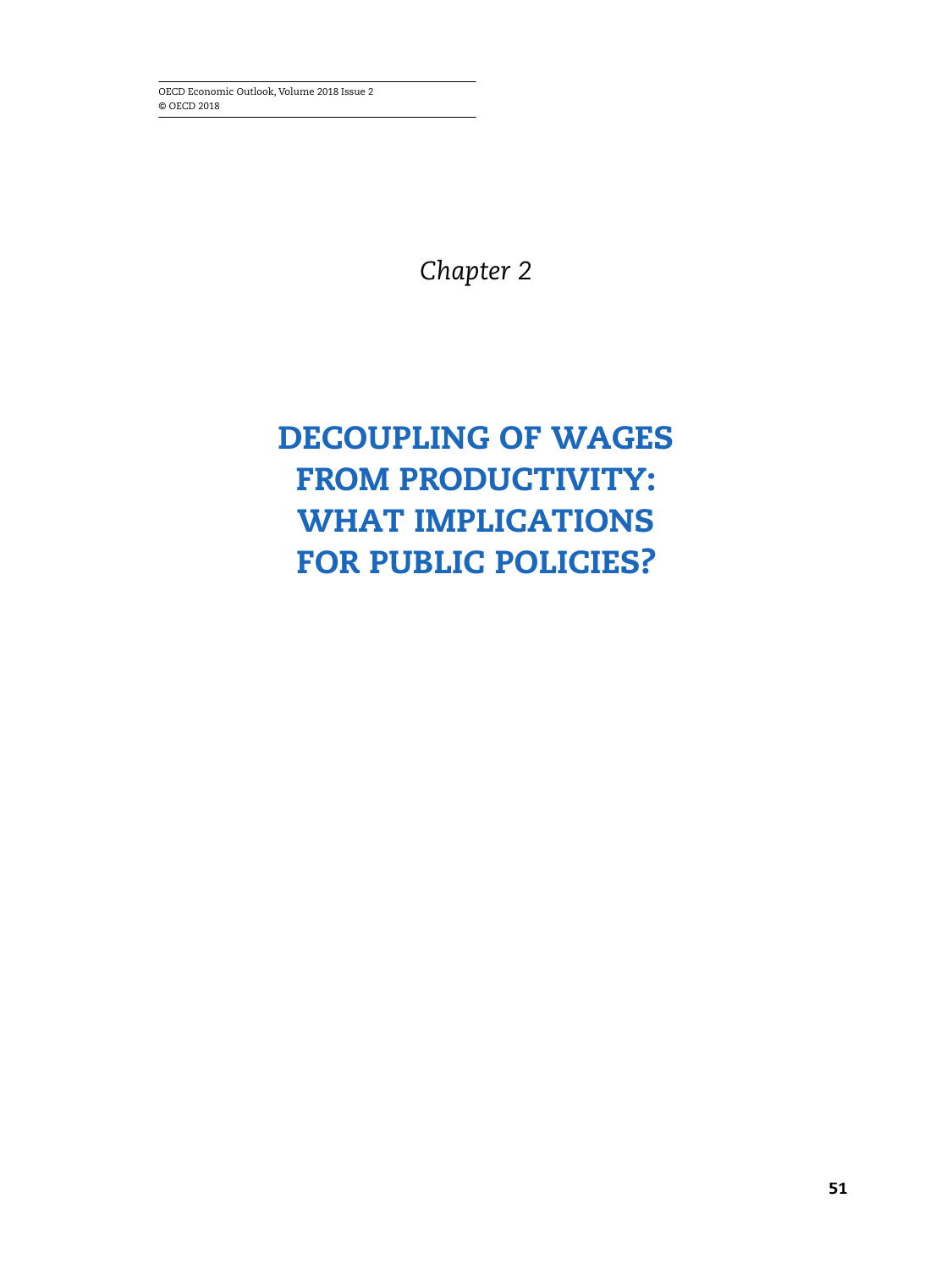OECD Economic Outlook, Volume 2018 Issue 2 © OECD 2018

*Chapter 2*

# **DECOUPLING OF WAGES FROM PRODUCTIVITY: WHAT IMPLICATIONS FOR PUBLIC POLICIES?**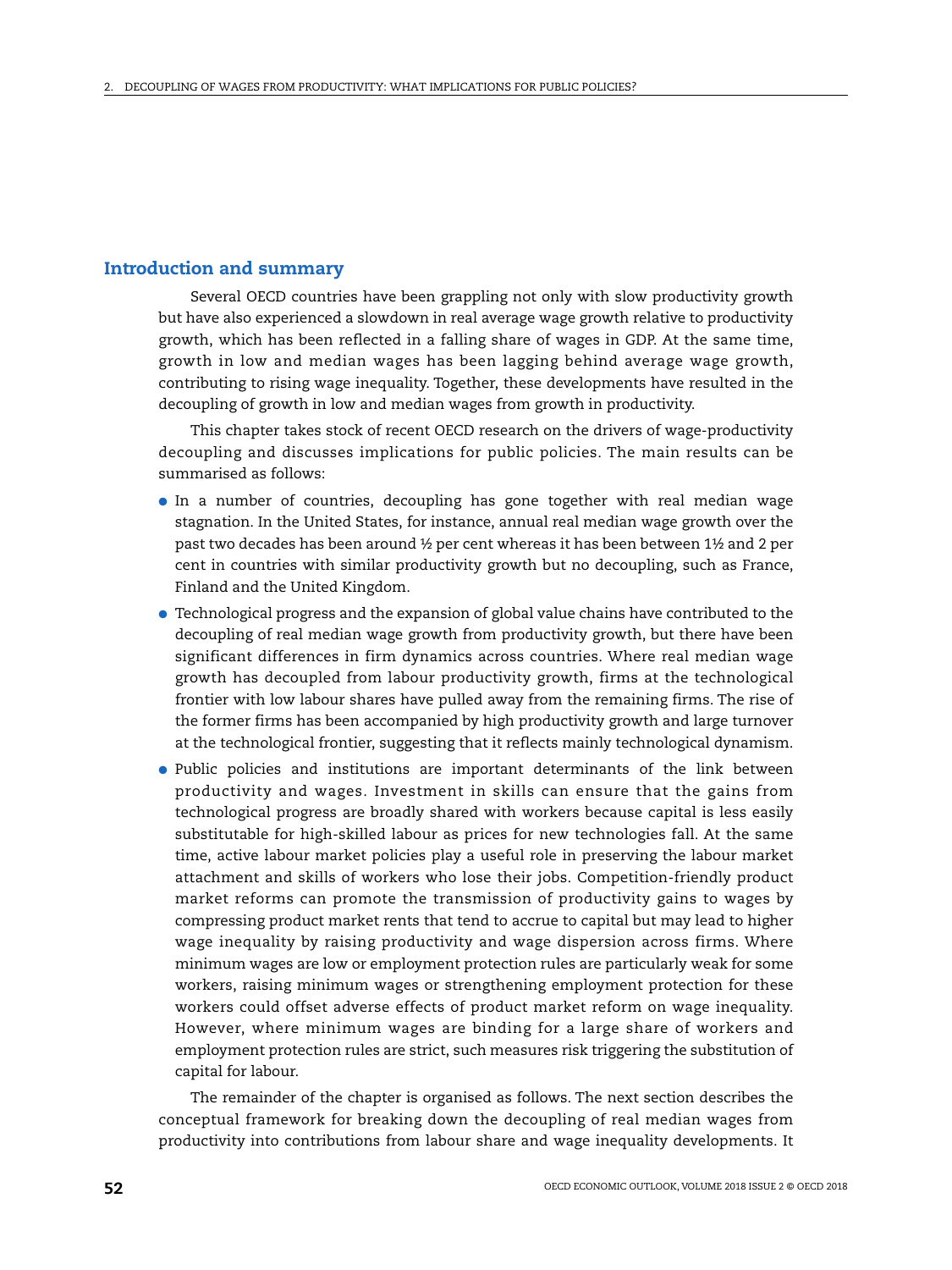# **Introduction and summary**

Several OECD countries have been grappling not only with slow productivity growth but have also experienced a slowdown in real average wage growth relative to productivity growth, which has been reflected in a falling share of wages in GDP. At the same time, growth in low and median wages has been lagging behind average wage growth, contributing to rising wage inequality. Together, these developments have resulted in the decoupling of growth in low and median wages from growth in productivity.

This chapter takes stock of recent OECD research on the drivers of wage-productivity decoupling and discusses implications for public policies. The main results can be summarised as follows:

- In a number of countries, decoupling has gone together with real median wage stagnation. In the United States, for instance, annual real median wage growth over the past two decades has been around ½ per cent whereas it has been between 1½ and 2 per cent in countries with similar productivity growth but no decoupling, such as France, Finland and the United Kingdom.
- Technological progress and the expansion of global value chains have contributed to the decoupling of real median wage growth from productivity growth, but there have been significant differences in firm dynamics across countries. Where real median wage growth has decoupled from labour productivity growth, firms at the technological frontier with low labour shares have pulled away from the remaining firms. The rise of the former firms has been accompanied by high productivity growth and large turnover at the technological frontier, suggesting that it reflects mainly technological dynamism.
- Public policies and institutions are important determinants of the link between productivity and wages. Investment in skills can ensure that the gains from technological progress are broadly shared with workers because capital is less easily substitutable for high-skilled labour as prices for new technologies fall. At the same time, active labour market policies play a useful role in preserving the labour market attachment and skills of workers who lose their jobs. Competition-friendly product market reforms can promote the transmission of productivity gains to wages by compressing product market rents that tend to accrue to capital but may lead to higher wage inequality by raising productivity and wage dispersion across firms. Where minimum wages are low or employment protection rules are particularly weak for some workers, raising minimum wages or strengthening employment protection for these workers could offset adverse effects of product market reform on wage inequality. However, where minimum wages are binding for a large share of workers and employment protection rules are strict, such measures risk triggering the substitution of capital for labour.

The remainder of the chapter is organised as follows. The next section describes the conceptual framework for breaking down the decoupling of real median wages from productivity into contributions from labour share and wage inequality developments. It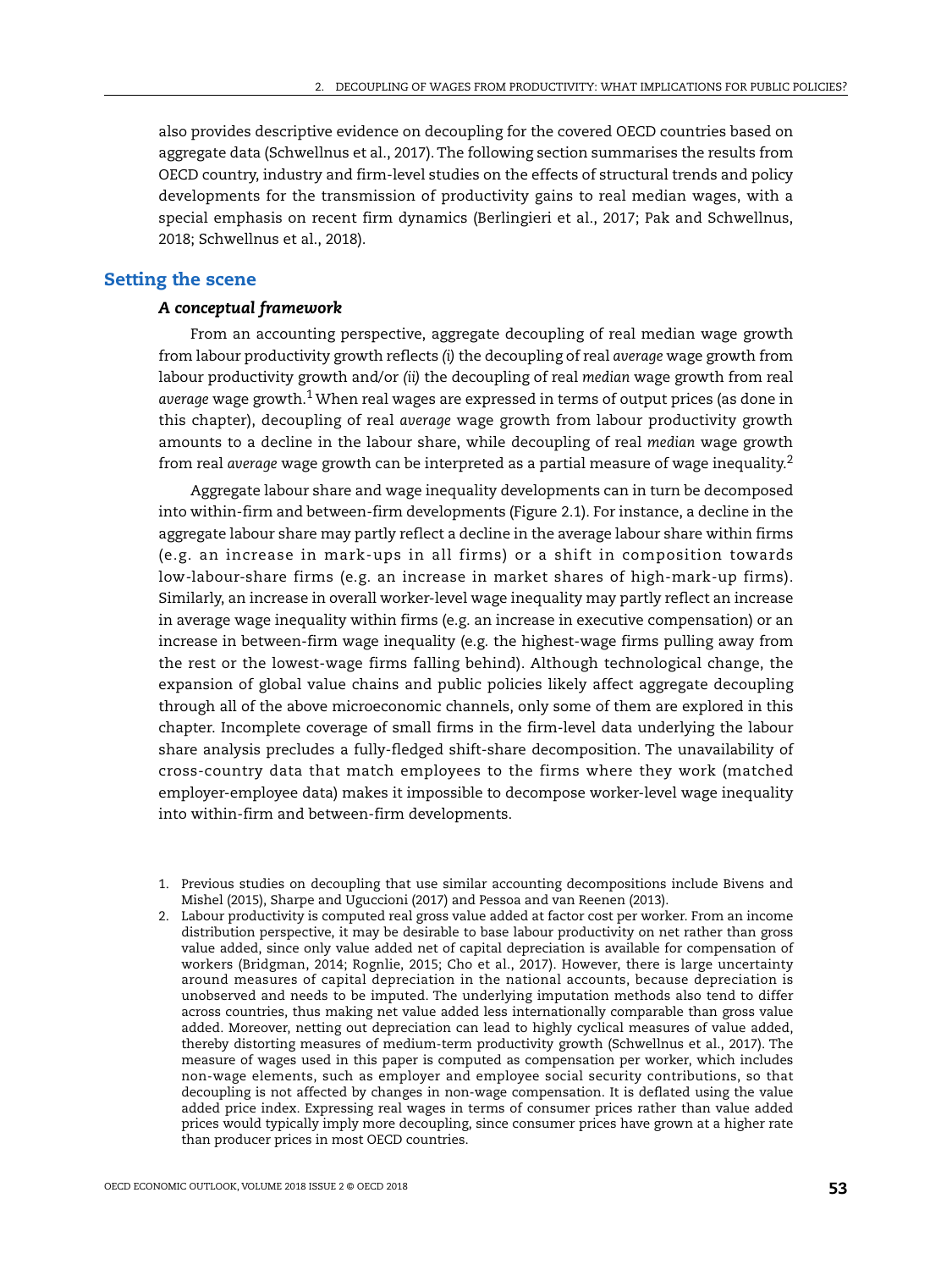also provides descriptive evidence on decoupling for the covered OECD countries based on aggregate data (Schwellnus et al., 2017). The following section summarises the results from OECD country, industry and firm-level studies on the effects of structural trends and policy developments for the transmission of productivity gains to real median wages, with a special emphasis on recent firm dynamics (Berlingieri et al., 2017; Pak and Schwellnus, 2018; Schwellnus et al., 2018).

## **Setting the scene**

### *A conceptual framework*

From an accounting perspective, aggregate decoupling of real median wage growth from labour productivity growth reflects *(i)* the decoupling of real *average* wage growth from labour productivity growth and/or *(ii)* the decoupling of real *median* wage growth from real *average* wage growth.1 When real wages are expressed in terms of output prices (as done in this chapter), decoupling of real *average* wage growth from labour productivity growth amounts to a decline in the labour share, while decoupling of real *median* wage growth from real *average* wage growth can be interpreted as a partial measure of wage inequality.2

Aggregate labour share and wage inequality developments can in turn be decomposed into within-firm and between-firm developments (Figure 2.1). For instance, a decline in the aggregate labour share may partly reflect a decline in the average labour share within firms (e.g. an increase in mark-ups in all firms) or a shift in composition towards low-labour-share firms (e.g. an increase in market shares of high-mark-up firms). Similarly, an increase in overall worker-level wage inequality may partly reflect an increase in average wage inequality within firms (e.g. an increase in executive compensation) or an increase in between-firm wage inequality (e.g. the highest-wage firms pulling away from the rest or the lowest-wage firms falling behind). Although technological change, the expansion of global value chains and public policies likely affect aggregate decoupling through all of the above microeconomic channels, only some of them are explored in this chapter. Incomplete coverage of small firms in the firm-level data underlying the labour share analysis precludes a fully-fledged shift-share decomposition. The unavailability of cross-country data that match employees to the firms where they work (matched employer-employee data) makes it impossible to decompose worker-level wage inequality into within-firm and between-firm developments.

2. Labour productivity is computed real gross value added at factor cost per worker. From an income distribution perspective, it may be desirable to base labour productivity on net rather than gross value added, since only value added net of capital depreciation is available for compensation of workers (Bridgman, 2014; Rognlie, 2015; Cho et al., 2017). However, there is large uncertainty around measures of capital depreciation in the national accounts, because depreciation is unobserved and needs to be imputed. The underlying imputation methods also tend to differ across countries, thus making net value added less internationally comparable than gross value added. Moreover, netting out depreciation can lead to highly cyclical measures of value added, thereby distorting measures of medium-term productivity growth (Schwellnus et al., 2017). The measure of wages used in this paper is computed as compensation per worker, which includes non-wage elements, such as employer and employee social security contributions, so that decoupling is not affected by changes in non-wage compensation. It is deflated using the value added price index. Expressing real wages in terms of consumer prices rather than value added prices would typically imply more decoupling, since consumer prices have grown at a higher rate than producer prices in most OECD countries.

<sup>1.</sup> Previous studies on decoupling that use similar accounting decompositions include Bivens and Mishel (2015), Sharpe and Uguccioni (2017) and Pessoa and van Reenen (2013).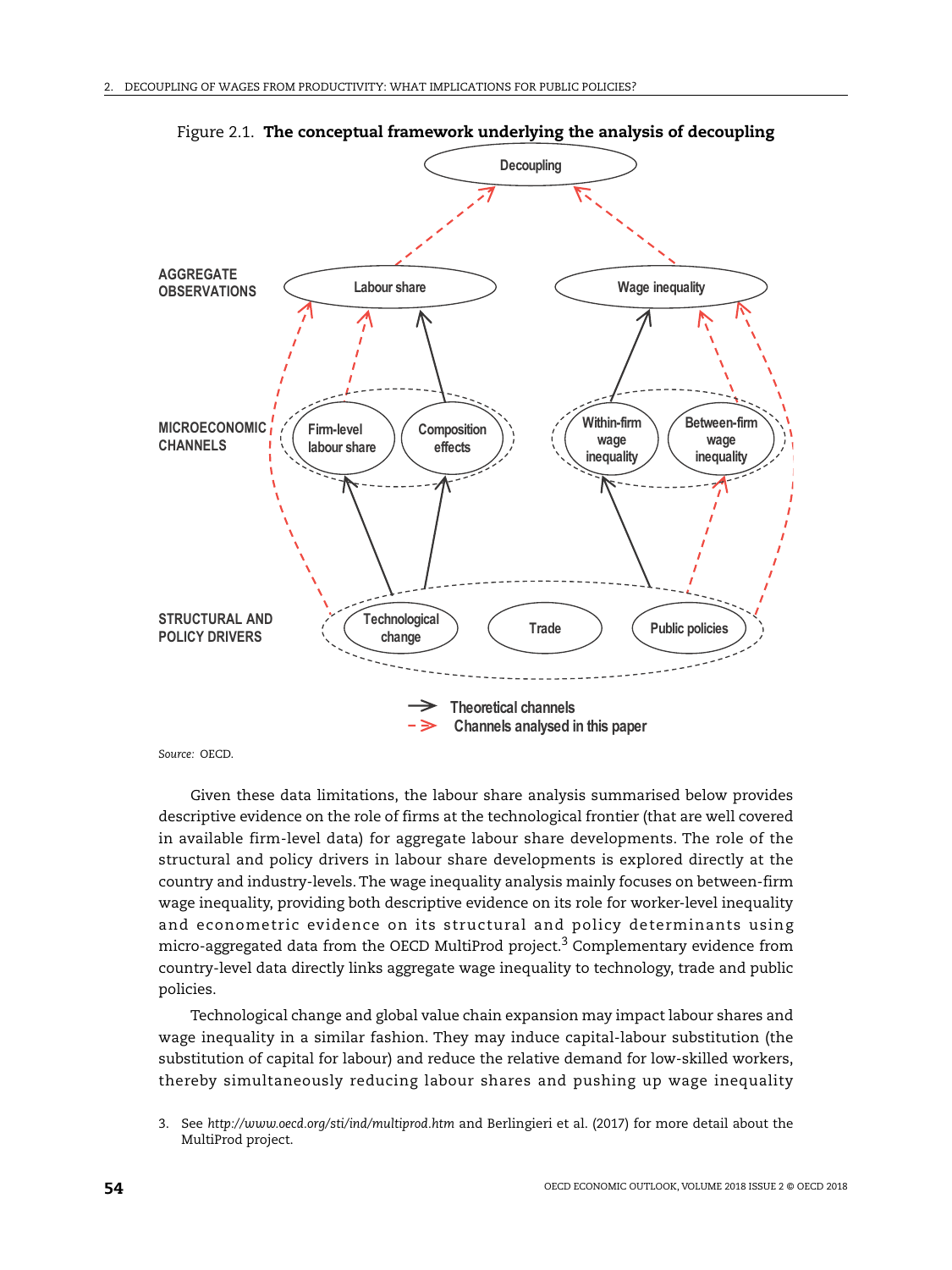

Figure 2.1. **The conceptual framework underlying the analysis of decoupling**

*Source:* OECD.

Given these data limitations, the labour share analysis summarised below provides descriptive evidence on the role of firms at the technological frontier (that are well covered in available firm-level data) for aggregate labour share developments. The role of the structural and policy drivers in labour share developments is explored directly at the country and industry-levels. The wage inequality analysis mainly focuses on between-firm wage inequality, providing both descriptive evidence on its role for worker-level inequality and econometric evidence on its structural and policy determinants using micro-aggregated data from the OECD MultiProd project.<sup>3</sup> Complementary evidence from country-level data directly links aggregate wage inequality to technology, trade and public policies.

Technological change and global value chain expansion may impact labour shares and wage inequality in a similar fashion. They may induce capital-labour substitution (the substitution of capital for labour) and reduce the relative demand for low-skilled workers, thereby simultaneously reducing labour shares and pushing up wage inequality

<sup>3.</sup> See *<http://www.oecd.org/sti/ind/multiprod.htm>* and Berlingieri et al. (2017) for more detail about the MultiProd project.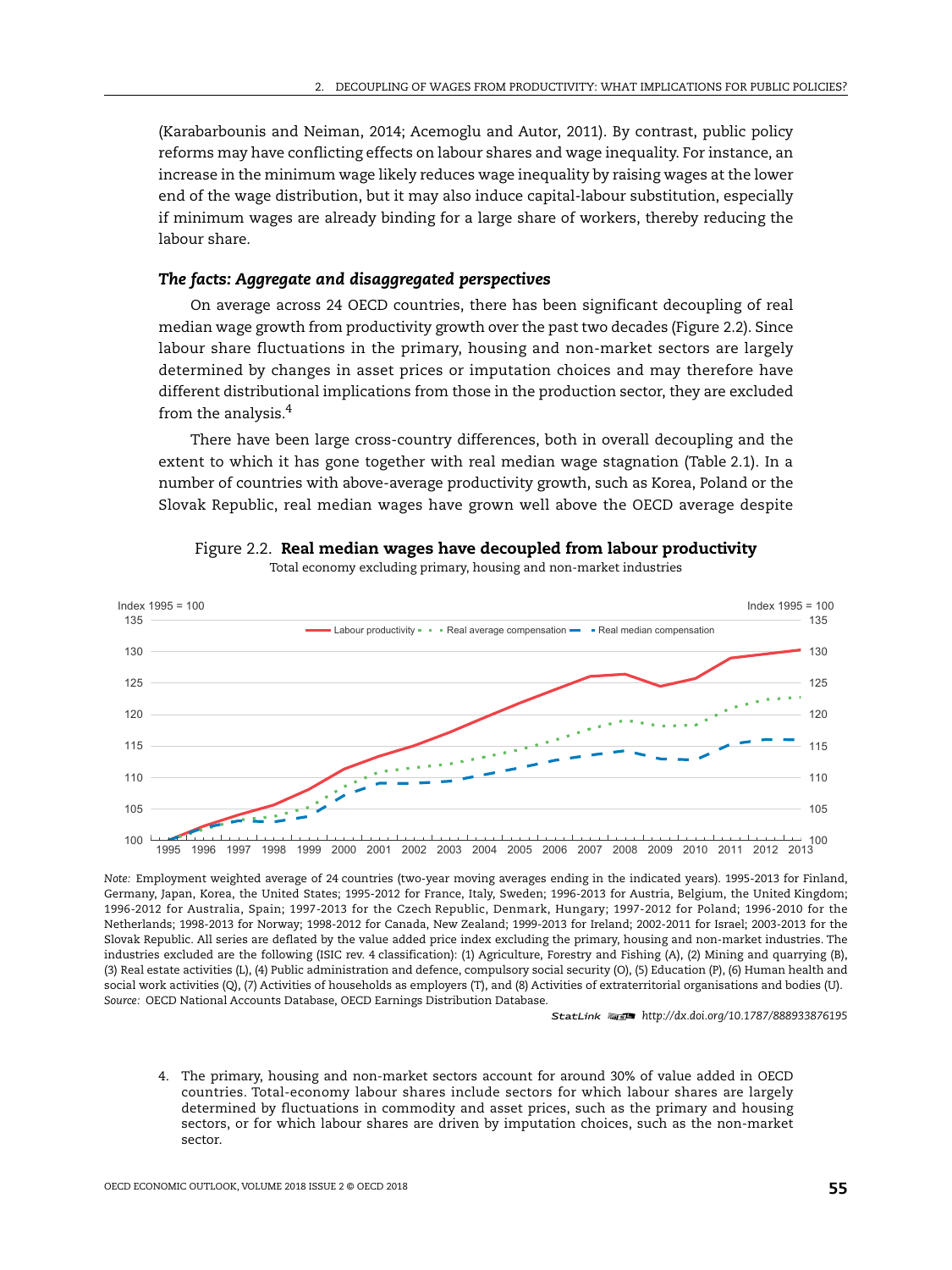(Karabarbounis and Neiman, 2014; Acemoglu and Autor, 2011). By contrast, public policy reforms may have conflicting effects on labour shares and wage inequality. For instance, an increase in the minimum wage likely reduces wage inequality by raising wages at the lower end of the wage distribution, but it may also induce capital-labour substitution, especially if minimum wages are already binding for a large share of workers, thereby reducing the labour share.

## *The facts: Aggregate and disaggregated perspectives*

On average across 24 OECD countries, there has been significant decoupling of real median wage growth from productivity growth over the past two decades (Figure 2.2). Since labour share fluctuations in the primary, housing and non-market sectors are largely determined by changes in asset prices or imputation choices and may therefore have different distributional implications from those in the production sector, they are excluded from the analysis.4

There have been large cross-country differences, both in overall decoupling and the extent to which it has gone together with real median wage stagnation (Table 2.1). In a number of countries with above-average productivity growth, such as Korea, Poland or the Slovak Republic, real median wages have grown well above the OECD average despite



Figure 2.2. **Real median wages have decoupled from labour productivity**

Total economy excluding primary, housing and non-market industries

*Note:* Employment weighted average of 24 countries (two-year moving averages ending in the indicated years). 1995-2013 for Finland, Germany, Japan, Korea, the United States; 1995-2012 for France, Italy, Sweden; 1996-2013 for Austria, Belgium, the United Kingdom; 1996-2012 for Australia, Spain; 1997-2013 for the Czech Republic, Denmark, Hungary; 1997-2012 for Poland; 1996-2010 for the Netherlands; 1998-2013 for Norway; 1998-2012 for Canada, New Zealand; 1999-2013 for Ireland; 2002-2011 for Israel; 2003-2013 for the Slovak Republic. All series are deflated by the value added price index excluding the primary, housing and non-market industries. The industries excluded are the following (ISIC rev. 4 classification): (1) Agriculture, Forestry and Fishing (A), (2) Mining and quarrying (B), (3) Real estate activities (L), (4) Public administration and defence, compulsory social security (O), (5) Education (P), (6) Human health and social work activities (Q), (7) Activities of households as employers (T), and (8) Activities of extraterritorial organisations and bodies (U). *Source:* OECD National Accounts Database, OECD Earnings Distribution Database.

1 2 *<http://dx.doi.org/10.1787/888933876195>*

4. The primary, housing and non-market sectors account for around 30% of value added in OECD countries. Total-economy labour shares include sectors for which labour shares are largely determined by fluctuations in commodity and asset prices, such as the primary and housing sectors, or for which labour shares are driven by imputation choices, such as the non-market sector.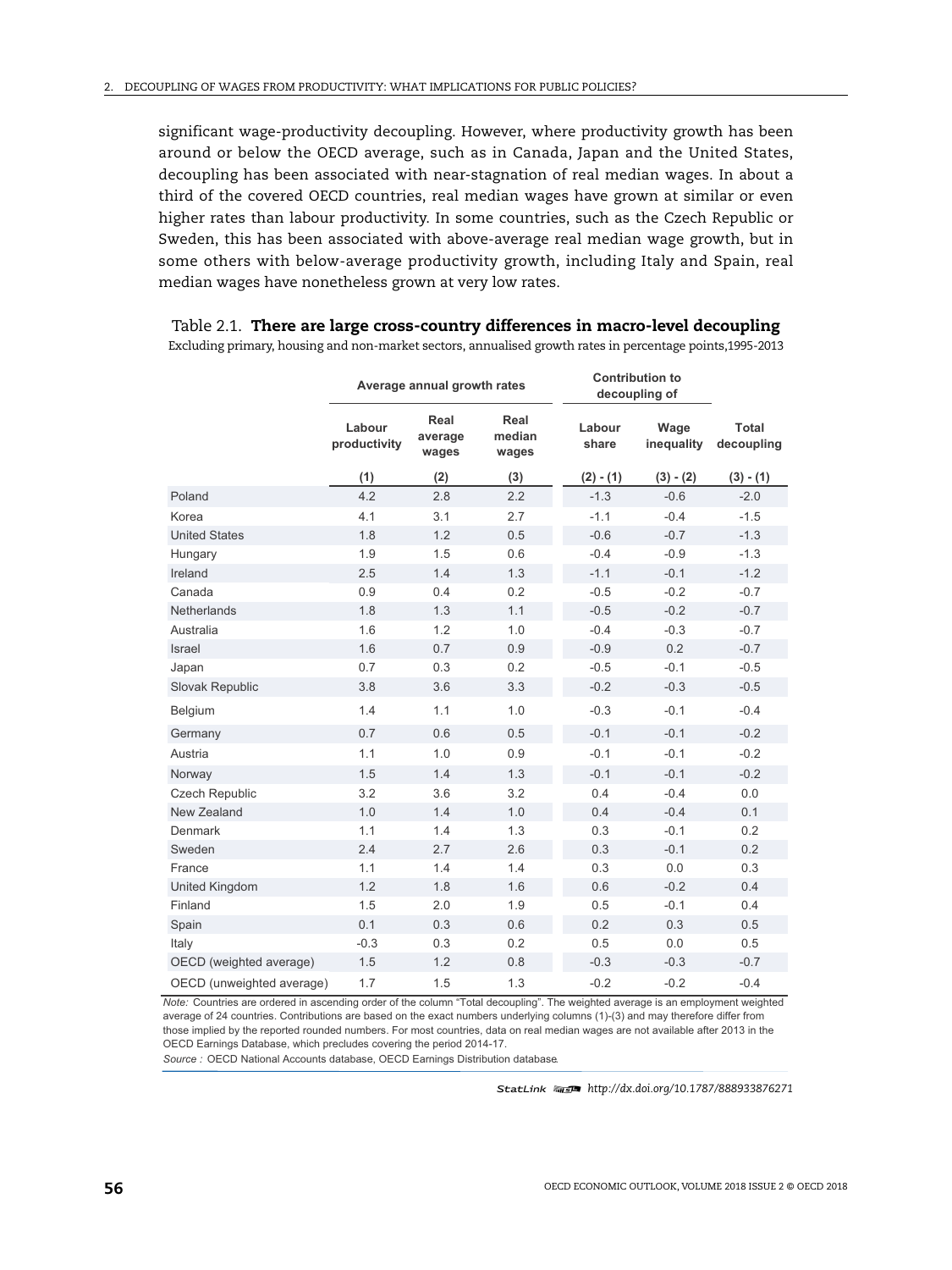significant wage-productivity decoupling. However, where productivity growth has been around or below the OECD average, such as in Canada, Japan and the United States, decoupling has been associated with near-stagnation of real median wages. In about a third of the covered OECD countries, real median wages have grown at similar or even higher rates than labour productivity. In some countries, such as the Czech Republic or Sweden, this has been associated with above-average real median wage growth, but in some others with below-average productivity growth, including Italy and Spain, real median wages have nonetheless grown at very low rates.

|                           | Average annual growth rates |                          |                         | <b>Contribution to</b><br>decoupling of |                    |                     |
|---------------------------|-----------------------------|--------------------------|-------------------------|-----------------------------------------|--------------------|---------------------|
|                           | Labour<br>productivity      | Real<br>average<br>wages | Real<br>median<br>wages | Labour<br>share                         | Wage<br>inequality | Total<br>decoupling |
|                           | (1)                         | (2)                      | (3)                     | $(2) - (1)$                             | $(3) - (2)$        | $(3) - (1)$         |
| Poland                    | 4.2                         | 2.8                      | 2.2                     | $-1.3$                                  | $-0.6$             | $-2.0$              |
| Korea                     | 4.1                         | 3.1                      | 2.7                     | $-1.1$                                  | $-0.4$             | $-1.5$              |
| <b>United States</b>      | 1.8                         | 1.2                      | 0.5                     | $-0.6$                                  | $-0.7$             | $-1.3$              |
| Hungary                   | 1.9                         | 1.5                      | 0.6                     | $-0.4$                                  | $-0.9$             | $-1.3$              |
| Ireland                   | 2.5                         | 1.4                      | 1.3                     | $-1.1$                                  | $-0.1$             | $-1.2$              |
| Canada                    | 0.9                         | 0.4                      | 0.2                     | $-0.5$                                  | $-0.2$             | $-0.7$              |
| <b>Netherlands</b>        | 1.8                         | 1.3                      | 1.1                     | $-0.5$                                  | $-0.2$             | $-0.7$              |
| Australia                 | 1.6                         | 1.2                      | 1.0                     | $-0.4$                                  | $-0.3$             | $-0.7$              |
| <b>Israel</b>             | 1.6                         | 0.7                      | 0.9                     | $-0.9$                                  | 0.2                | $-0.7$              |
| Japan                     | 0.7                         | 0.3                      | 0.2                     | $-0.5$                                  | $-0.1$             | $-0.5$              |
| Slovak Republic           | 3.8                         | 3.6                      | 3.3                     | $-0.2$                                  | $-0.3$             | $-0.5$              |
| Belgium                   | 1.4                         | 1.1                      | 1.0                     | $-0.3$                                  | $-0.1$             | $-0.4$              |
| Germany                   | 0.7                         | 0.6                      | 0.5                     | $-0.1$                                  | $-0.1$             | $-0.2$              |
| Austria                   | 1.1                         | 1.0                      | 0.9                     | $-0.1$                                  | $-0.1$             | $-0.2$              |
| Norway                    | 1.5                         | 1.4                      | 1.3                     | $-0.1$                                  | $-0.1$             | $-0.2$              |
| <b>Czech Republic</b>     | 3.2                         | 3.6                      | 3.2                     | 0.4                                     | $-0.4$             | 0.0                 |
| New Zealand               | 1.0                         | 1.4                      | 1.0                     | 0.4                                     | $-0.4$             | 0.1                 |
| Denmark                   | 1.1                         | 1.4                      | 1.3                     | 0.3                                     | $-0.1$             | 0.2                 |
| Sweden                    | 2.4                         | 2.7                      | 2.6                     | 0.3                                     | $-0.1$             | 0.2                 |
| France                    | 1.1                         | 1.4                      | 1.4                     | 0.3                                     | 0.0                | 0.3                 |
| United Kingdom            | 1.2                         | 1.8                      | 1.6                     | 0.6                                     | $-0.2$             | 0.4                 |
| Finland                   | 1.5                         | 2.0                      | 1.9                     | 0.5                                     | $-0.1$             | 0.4                 |
| Spain                     | 0.1                         | 0.3                      | 0.6                     | 0.2                                     | 0.3                | 0.5                 |
| Italy                     | $-0.3$                      | 0.3                      | 0.2                     | 0.5                                     | 0.0                | 0.5                 |
| OECD (weighted average)   | 1.5                         | 1.2                      | 0.8                     | $-0.3$                                  | $-0.3$             | $-0.7$              |
| OECD (unweighted average) | 1.7                         | 1.5                      | 1.3                     | $-0.2$                                  | $-0.2$             | $-0.4$              |

Table 2.1. **There are large cross-country differences in macro-level decoupling** Excluding primary, housing and non-market sectors, annualised growth rates in percentage points,1995-2013

*Note:* Countries are ordered in ascending order of the column "Total decoupling". The weighted average is an employment weighted average of 24 countries. Contributions are based on the exact numbers underlying columns (1)-(3) and may therefore differ from those implied by the reported rounded numbers. For most countries, data on real median wages are not available after 2013 in the OECD Earnings Database, which precludes covering the period 2014-17.

Source : OECD National Accounts database. OECD Earnings Distribution database.

1 2 *<http://dx.doi.org/10.1787/888933876271>*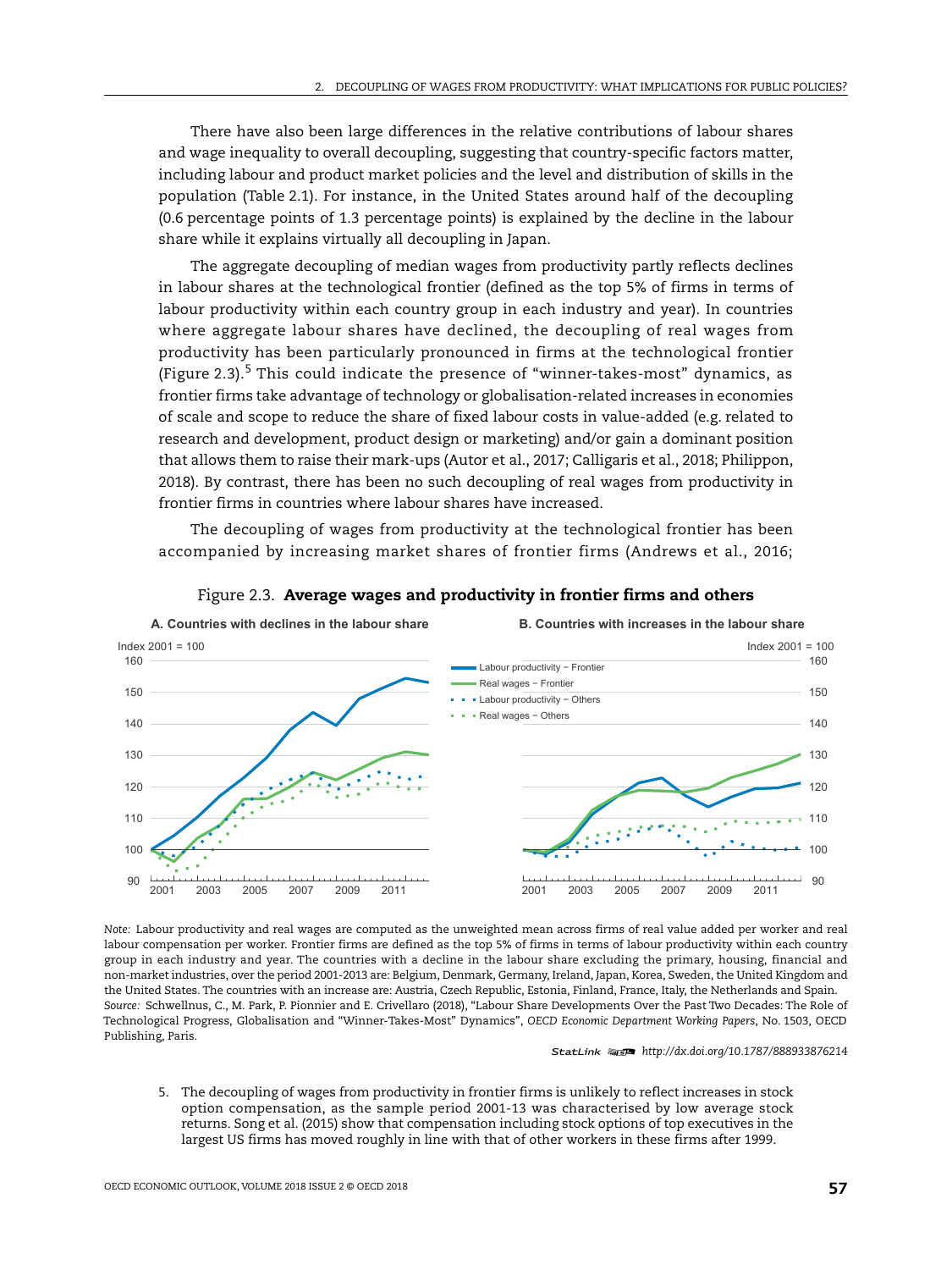There have also been large differences in the relative contributions of labour shares and wage inequality to overall decoupling, suggesting that country-specific factors matter, including labour and product market policies and the level and distribution of skills in the population (Table 2.1). For instance, in the United States around half of the decoupling (0.6 percentage points of 1.3 percentage points) is explained by the decline in the labour share while it explains virtually all decoupling in Japan.

The aggregate decoupling of median wages from productivity partly reflects declines in labour shares at the technological frontier (defined as the top 5% of firms in terms of labour productivity within each country group in each industry and year). In countries where aggregate labour shares have declined, the decoupling of real wages from productivity has been particularly pronounced in firms at the technological frontier (Figure 2.3).<sup>5</sup> This could indicate the presence of "winner-takes-most" dynamics, as frontier firms take advantage of technology or globalisation-related increases in economies of scale and scope to reduce the share of fixed labour costs in value-added (e.g. related to research and development, product design or marketing) and/or gain a dominant position that allows them to raise their mark-ups (Autor et al., 2017; Calligaris et al., 2018; Philippon, 2018). By contrast, there has been no such decoupling of real wages from productivity in frontier firms in countries where labour shares have increased.

The decoupling of wages from productivity at the technological frontier has been accompanied by increasing market shares of frontier firms (Andrews et al., 2016;



Figure 2.3. **Average wages and productivity in frontier firms and others**

*Note:* Labour productivity and real wages are computed as the unweighted mean across firms of real value added per worker and real labour compensation per worker. Frontier firms are defined as the top 5% of firms in terms of labour productivity within each country group in each industry and year. The countries with a decline in the labour share excluding the primary, housing, financial and non-market industries, over the period 2001-2013 are: Belgium, Denmark, Germany, Ireland, Japan, Korea, Sweden, the United Kingdom and the United States. The countries with an increase are: Austria, Czech Republic, Estonia, Finland, France, Italy, the Netherlands and Spain. *Source:* [Schwellnus, C., M. Park, P. Pionnier and E. Crivellaro \(2018\), "Labour Share Developments Over the Past Two Decades: The Role of](http://dx.doi.org/10.1787/3eb9f9ed-en) [Technological Progress, Globalisation and "Winner-Takes-Most" Dynamics",](http://dx.doi.org/10.1787/3eb9f9ed-en) *OECD Economic Department Working Papers*, No. 1503, OECD Publishing, Paris.

1 2 *<http://dx.doi.org/10.1787/888933876214>*

5. The decoupling of wages from productivity in frontier firms is unlikely to reflect increases in stock option compensation, as the sample period 2001-13 was characterised by low average stock returns. Song et al. (2015) show that compensation including stock options of top executives in the largest US firms has moved roughly in line with that of other workers in these firms after 1999.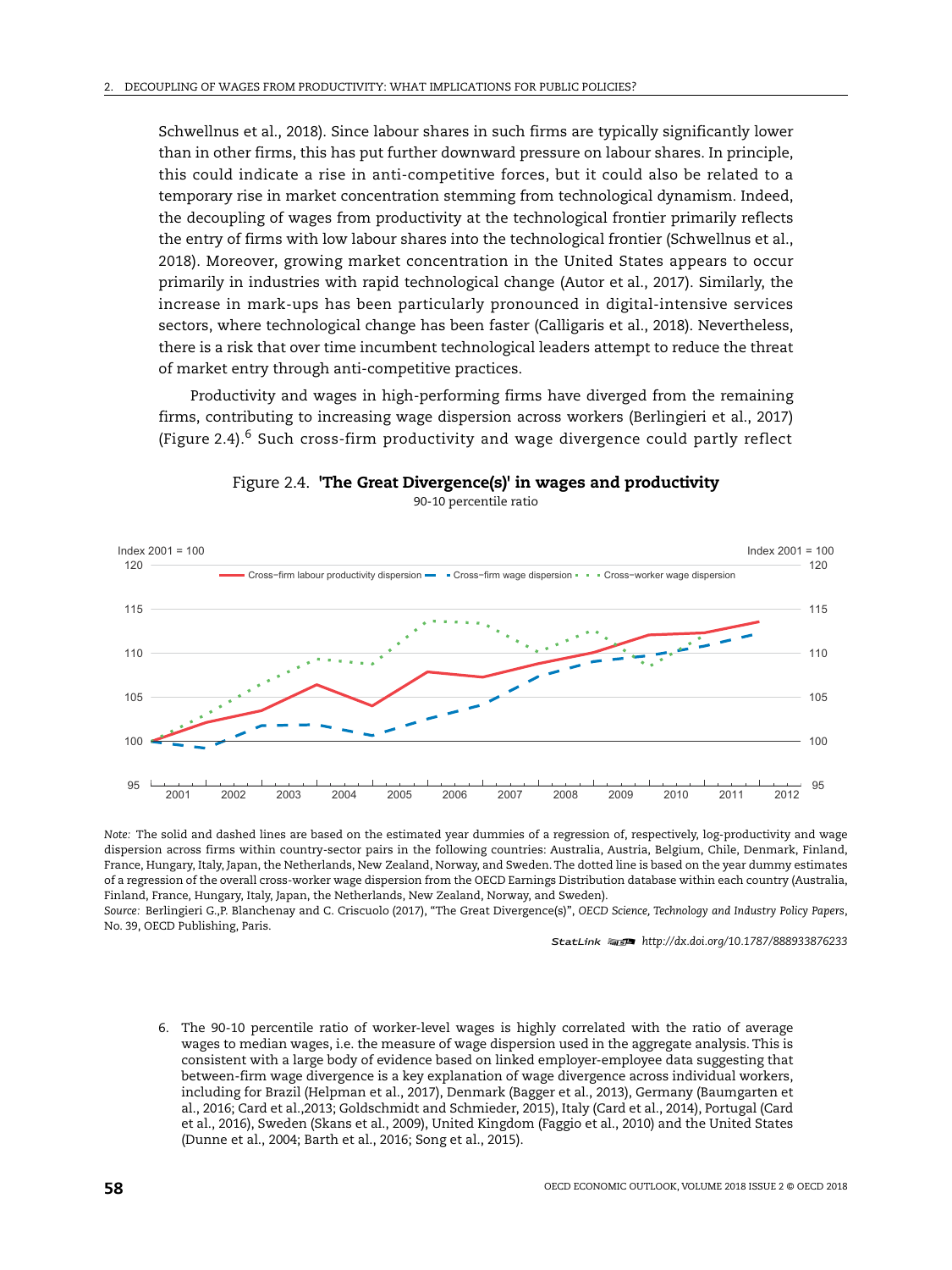Schwellnus et al., 2018). Since labour shares in such firms are typically significantly lower than in other firms, this has put further downward pressure on labour shares. In principle, this could indicate a rise in anti-competitive forces, but it could also be related to a temporary rise in market concentration stemming from technological dynamism. Indeed, the decoupling of wages from productivity at the technological frontier primarily reflects the entry of firms with low labour shares into the technological frontier (Schwellnus et al., 2018). Moreover, growing market concentration in the United States appears to occur primarily in industries with rapid technological change (Autor et al., 2017). Similarly, the increase in mark-ups has been particularly pronounced in digital-intensive services sectors, where technological change has been faster (Calligaris et al., 2018). Nevertheless, there is a risk that over time incumbent technological leaders attempt to reduce the threat of market entry through anti-competitive practices.

Productivity and wages in high-performing firms have diverged from the remaining firms, contributing to increasing wage dispersion across workers (Berlingieri et al., 2017) (Figure 2.4).<sup>6</sup> Such cross-firm productivity and wage divergence could partly reflect



#### Figure 2.4. **'The Great Divergence(s)' in wages and productivity** 90-10 percentile ratio

*Note:* The solid and dashed lines are based on the estimated year dummies of a regression of, respectively, log-productivity and wage dispersion across firms within country-sector pairs in the following countries: Australia, Austria, Belgium, Chile, Denmark, Finland, France, Hungary, Italy, Japan, the Netherlands, New Zealand, Norway, and Sweden. The dotted line is based on the year dummy estimates of a regression of the overall cross-worker wage dispersion from the OECD Earnings Distribution database within each country (Australia, Finland, France, Hungary, Italy, Japan, the Netherlands, New Zealand, Norway, and Sweden).

*Source:* [Berlingieri G.,P. Blanchenay and C. Criscuolo \(2017\), "The Great Divergence\(s\)",](http://dx.doi.org/10.1787/888933876233) *OECD Science, Technology and Industry Policy Papers*, No. 39, OECD Publishing, Paris.

1 2 *<http://dx.doi.org/10.1787/888933876233>*

6. The 90-10 percentile ratio of worker-level wages is highly correlated with the ratio of average wages to median wages, i.e. the measure of wage dispersion used in the aggregate analysis. This is consistent with a large body of evidence based on linked employer-employee data suggesting that between-firm wage divergence is a key explanation of wage divergence across individual workers, including for Brazil (Helpman et al., 2017), Denmark (Bagger et al., 2013), Germany (Baumgarten et al., 2016; Card et al.,2013; Goldschmidt and Schmieder, 2015), Italy (Card et al., 2014), Portugal (Card et al., 2016), Sweden (Skans et al., 2009), United Kingdom (Faggio et al., 2010) and the United States (Dunne et al., 2004; Barth et al., 2016; Song et al., 2015).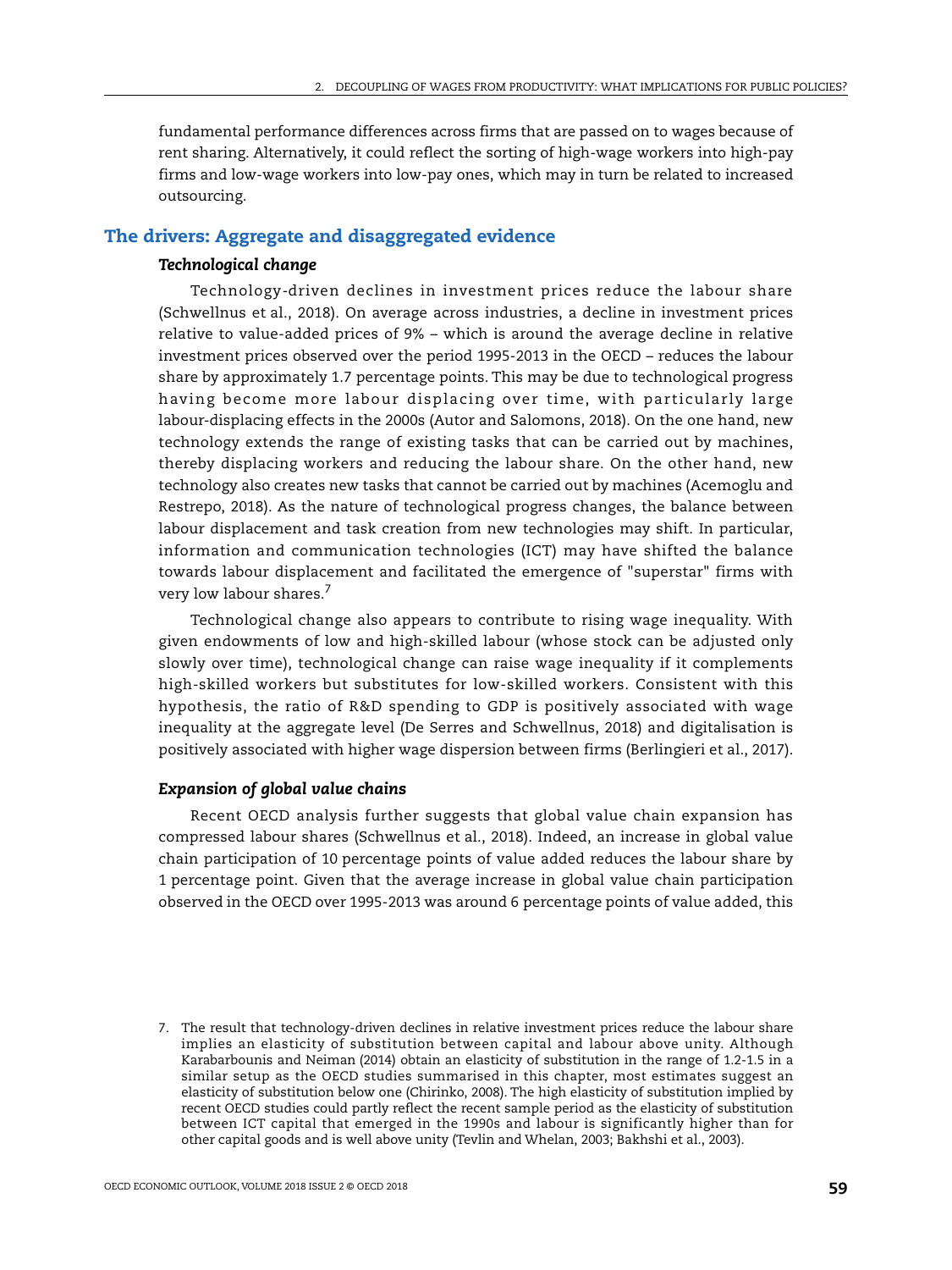fundamental performance differences across firms that are passed on to wages because of rent sharing. Alternatively, it could reflect the sorting of high-wage workers into high-pay firms and low-wage workers into low-pay ones, which may in turn be related to increased outsourcing.

# **The drivers: Aggregate and disaggregated evidence**

## *Technological change*

Technology-driven declines in investment prices reduce the labour share (Schwellnus et al., 2018). On average across industries, a decline in investment prices relative to value-added prices of 9% – which is around the average decline in relative investment prices observed over the period 1995-2013 in the OECD – reduces the labour share by approximately 1.7 percentage points. This may be due to technological progress having become more labour displacing over time, with particularly large labour-displacing effects in the 2000s (Autor and Salomons, 2018). On the one hand, new technology extends the range of existing tasks that can be carried out by machines, thereby displacing workers and reducing the labour share. On the other hand, new technology also creates new tasks that cannot be carried out by machines (Acemoglu and Restrepo, 2018). As the nature of technological progress changes, the balance between labour displacement and task creation from new technologies may shift. In particular, information and communication technologies (ICT) may have shifted the balance towards labour displacement and facilitated the emergence of "superstar" firms with very low labour shares.<sup>7</sup>

Technological change also appears to contribute to rising wage inequality. With given endowments of low and high-skilled labour (whose stock can be adjusted only slowly over time), technological change can raise wage inequality if it complements high-skilled workers but substitutes for low-skilled workers. Consistent with this hypothesis, the ratio of R&D spending to GDP is positively associated with wage inequality at the aggregate level (De Serres and Schwellnus, 2018) and digitalisation is positively associated with higher wage dispersion between firms (Berlingieri et al., 2017).

## *Expansion of global value chains*

Recent OECD analysis further suggests that global value chain expansion has compressed labour shares (Schwellnus et al., 2018). Indeed, an increase in global value chain participation of 10 percentage points of value added reduces the labour share by 1 percentage point. Given that the average increase in global value chain participation observed in the OECD over 1995-2013 was around 6 percentage points of value added, this

<sup>7.</sup> The result that technology-driven declines in relative investment prices reduce the labour share implies an elasticity of substitution between capital and labour above unity. Although Karabarbounis and Neiman (2014) obtain an elasticity of substitution in the range of 1.2-1.5 in a similar setup as the OECD studies summarised in this chapter, most estimates suggest an elasticity of substitution below one (Chirinko, 2008). The high elasticity of substitution implied by recent OECD studies could partly reflect the recent sample period as the elasticity of substitution between ICT capital that emerged in the 1990s and labour is significantly higher than for other capital goods and is well above unity (Tevlin and Whelan, 2003; Bakhshi et al., 2003).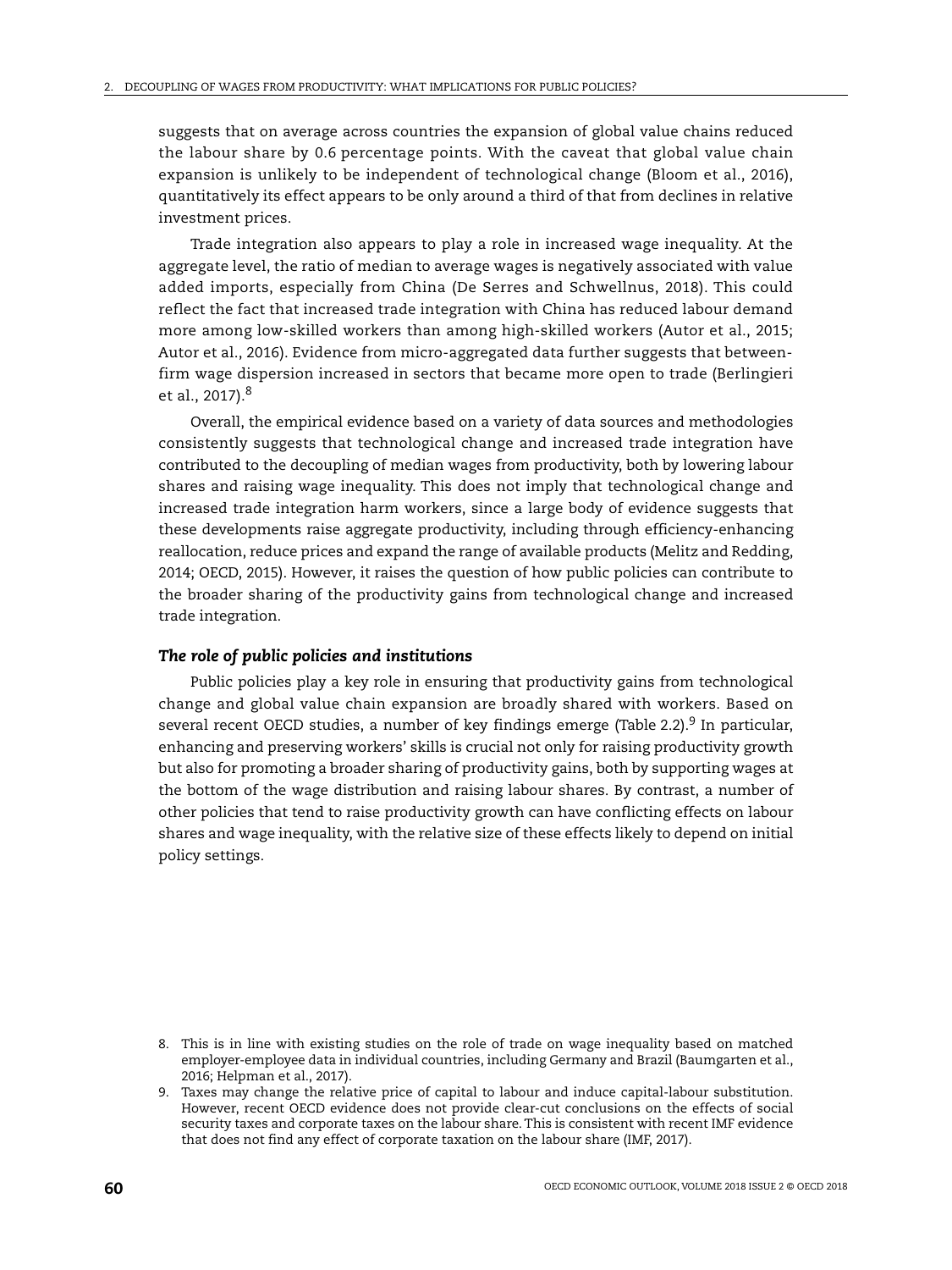suggests that on average across countries the expansion of global value chains reduced the labour share by 0.6 percentage points. With the caveat that global value chain expansion is unlikely to be independent of technological change (Bloom et al., 2016), quantitatively its effect appears to be only around a third of that from declines in relative investment prices.

Trade integration also appears to play a role in increased wage inequality. At the aggregate level, the ratio of median to average wages is negatively associated with value added imports, especially from China (De Serres and Schwellnus, 2018). This could reflect the fact that increased trade integration with China has reduced labour demand more among low-skilled workers than among high-skilled workers (Autor et al., 2015; Autor et al., 2016). Evidence from micro-aggregated data further suggests that betweenfirm wage dispersion increased in sectors that became more open to trade (Berlingieri et al., 2017).<sup>8</sup>

Overall, the empirical evidence based on a variety of data sources and methodologies consistently suggests that technological change and increased trade integration have contributed to the decoupling of median wages from productivity, both by lowering labour shares and raising wage inequality. This does not imply that technological change and increased trade integration harm workers, since a large body of evidence suggests that these developments raise aggregate productivity, including through efficiency-enhancing reallocation, reduce prices and expand the range of available products (Melitz and Redding, 2014; OECD, 2015). However, it raises the question of how public policies can contribute to the broader sharing of the productivity gains from technological change and increased trade integration.

#### *The role of public policies and institutions*

Public policies play a key role in ensuring that productivity gains from technological change and global value chain expansion are broadly shared with workers. Based on several recent OECD studies, a number of key findings emerge (Table 2.2).<sup>9</sup> In particular, enhancing and preserving workers' skills is crucial not only for raising productivity growth but also for promoting a broader sharing of productivity gains, both by supporting wages at the bottom of the wage distribution and raising labour shares. By contrast, a number of other policies that tend to raise productivity growth can have conflicting effects on labour shares and wage inequality, with the relative size of these effects likely to depend on initial policy settings.

<sup>8.</sup> This is in line with existing studies on the role of trade on wage inequality based on matched employer-employee data in individual countries, including Germany and Brazil (Baumgarten et al., 2016; Helpman et al., 2017).

<sup>9.</sup> Taxes may change the relative price of capital to labour and induce capital-labour substitution. However, recent OECD evidence does not provide clear-cut conclusions on the effects of social security taxes and corporate taxes on the labour share. This is consistent with recent IMF evidence that does not find any effect of corporate taxation on the labour share (IMF, 2017).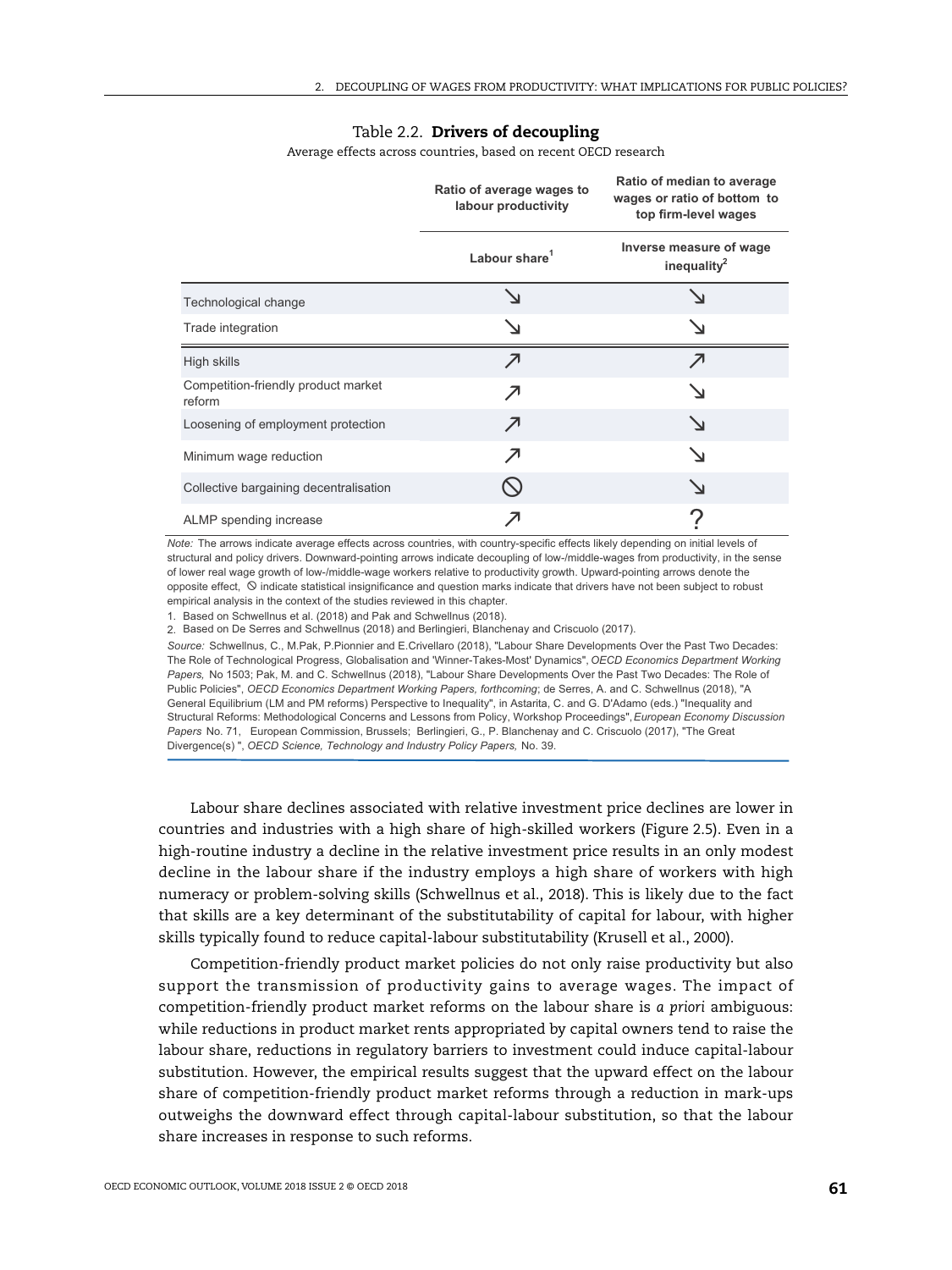#### Table 2.2. **Drivers of decoupling**

Average effects across countries, based on recent OECD research

|                                               | Ratio of average wages to<br>labour productivity | Ratio of median to average<br>wages or ratio of bottom to<br>top firm-level wages |  |  |
|-----------------------------------------------|--------------------------------------------------|-----------------------------------------------------------------------------------|--|--|
|                                               | Labour share <sup>1</sup>                        | Inverse measure of wage<br>inequality $^2$                                        |  |  |
| Technological change                          |                                                  |                                                                                   |  |  |
| Trade integration                             |                                                  |                                                                                   |  |  |
| High skills                                   | ↗                                                | ↗                                                                                 |  |  |
| Competition-friendly product market<br>reform | ↗                                                |                                                                                   |  |  |
| Loosening of employment protection            | ↗                                                | $\blacktriangle$                                                                  |  |  |
| Minimum wage reduction                        |                                                  | ↘                                                                                 |  |  |
| Collective bargaining decentralisation        |                                                  |                                                                                   |  |  |
| ALMP spending increase                        |                                                  |                                                                                   |  |  |

*Note:* The arrows indicate average effects across countries, with country-specific effects likely depending on initial levels of structural and policy drivers. Downward-pointing arrows indicate decoupling of low-/middle-wages from productivity, in the sense of lower real wage growth of low-/middle-wage workers relative to productivity growth. Upward-pointing arrows denote the opposite effect,  $\odot$  indicate statistical insignificance and question marks indicate that drivers have not been subject to robust empirical analysis in the context of the studies reviewed in this chapter.

1. Based on Schwellnus et al. (2018) and Pak and Schwellnus (2018).

2. Based on De Serres and Schwellnus (2018) and Berlingieri, Blanchenay and Criscuolo (2017).

Source: Schwellnus, C., M.Pak, P.Pionnier and E.Crivellaro (2018), "Labour Share Developments Over the Past Two Decades: The Role of Technological Progress, Globalisation and 'Winner-Takes-Most' Dynamics", OECD Econo*mics Department Working* Papers, No 1503; Pak, M. and C. Schwellnus (2018), "Labour Share Developments Over the Past Two Decades: The Role of Public Policies", OECD Economics Department Working Papers, forthcoming; de Serres, A. and C. Schwellnus (2018), "A General Equilibrium (LM and PM reforms) Perspective to Inequality", in Astarita, C. and G. D'Adamo (eds.) "Inequality and Structural Reforms: Methodological Concerns and Lessons from Policy, Workshop Proceedings", European Economy Discussion Papers No. 71, European Commission, Brussels; Berlingieri, G., P. Blanchenay and C. Criscuolo (2017), "The Great Divergence(s) ", OECD Science, Technology and Industry Policy Papers, No. 39.

Labour share declines associated with relative investment price declines are lower in countries and industries with a high share of high-skilled workers (Figure 2.5). Even in a high-routine industry a decline in the relative investment price results in an only modest decline in the labour share if the industry employs a high share of workers with high numeracy or problem-solving skills (Schwellnus et al., 2018). This is likely due to the fact that skills are a key determinant of the substitutability of capital for labour, with higher skills typically found to reduce capital-labour substitutability (Krusell et al., 2000).

Competition-friendly product market policies do not only raise productivity but also support the transmission of productivity gains to average wages. The impact of competition-friendly product market reforms on the labour share is *a priori* ambiguous: while reductions in product market rents appropriated by capital owners tend to raise the labour share, reductions in regulatory barriers to investment could induce capital-labour substitution. However, the empirical results suggest that the upward effect on the labour share of competition-friendly product market reforms through a reduction in mark-ups outweighs the downward effect through capital-labour substitution, so that the labour share increases in response to such reforms.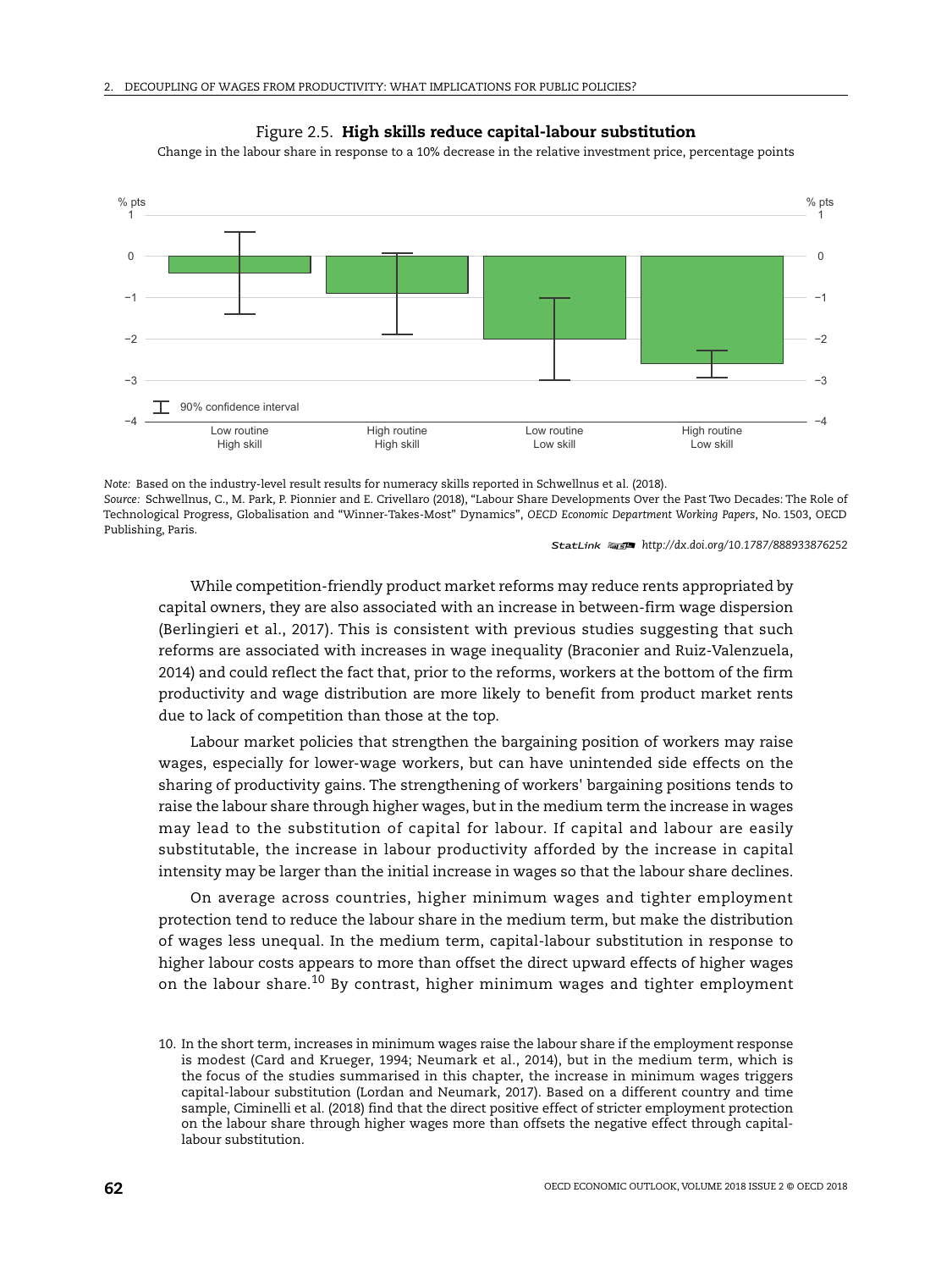



Change in the labour share in response to a 10% decrease in the relative investment price, percentage points

*Note:* Based on the industry-level result results for numeracy skills reported in Schwellnus et al. (2018). *Source:* [Schwellnus, C., M. Park, P. Pionnier and E. Crivellaro \(2018\), "Labour Share Developments Over the Past Two Decades: The Role of](http://dx.doi.org/10.1787/3eb9f9ed-en) [Technological Progress, Globalisation and "Winner-Takes-Most" Dynamics",](http://dx.doi.org/10.1787/3eb9f9ed-en) *OECD Economic Department Working Papers*, No. 1503, OECD Publishing, Paris.

1 2 *<http://dx.doi.org/10.1787/888933876252>*

While competition-friendly product market reforms may reduce rents appropriated by capital owners, they are also associated with an increase in between-firm wage dispersion (Berlingieri et al., 2017). This is consistent with previous studies suggesting that such reforms are associated with increases in wage inequality (Braconier and Ruiz-Valenzuela, 2014) and could reflect the fact that, prior to the reforms, workers at the bottom of the firm productivity and wage distribution are more likely to benefit from product market rents due to lack of competition than those at the top.

Labour market policies that strengthen the bargaining position of workers may raise wages, especially for lower-wage workers, but can have unintended side effects on the sharing of productivity gains. The strengthening of workers' bargaining positions tends to raise the labour share through higher wages, but in the medium term the increase in wages may lead to the substitution of capital for labour. If capital and labour are easily substitutable, the increase in labour productivity afforded by the increase in capital intensity may be larger than the initial increase in wages so that the labour share declines.

On average across countries, higher minimum wages and tighter employment protection tend to reduce the labour share in the medium term, but make the distribution of wages less unequal. In the medium term, capital-labour substitution in response to higher labour costs appears to more than offset the direct upward effects of higher wages on the labour share.<sup>10</sup> By contrast, higher minimum wages and tighter employment

<sup>10.</sup> In the short term, increases in minimum wages raise the labour share if the employment response is modest (Card and Krueger, 1994; Neumark et al., 2014), but in the medium term, which is the focus of the studies summarised in this chapter, the increase in minimum wages triggers capital-labour substitution (Lordan and Neumark, 2017). Based on a different country and time sample, Ciminelli et al. (2018) find that the direct positive effect of stricter employment protection on the labour share through higher wages more than offsets the negative effect through capitallabour substitution.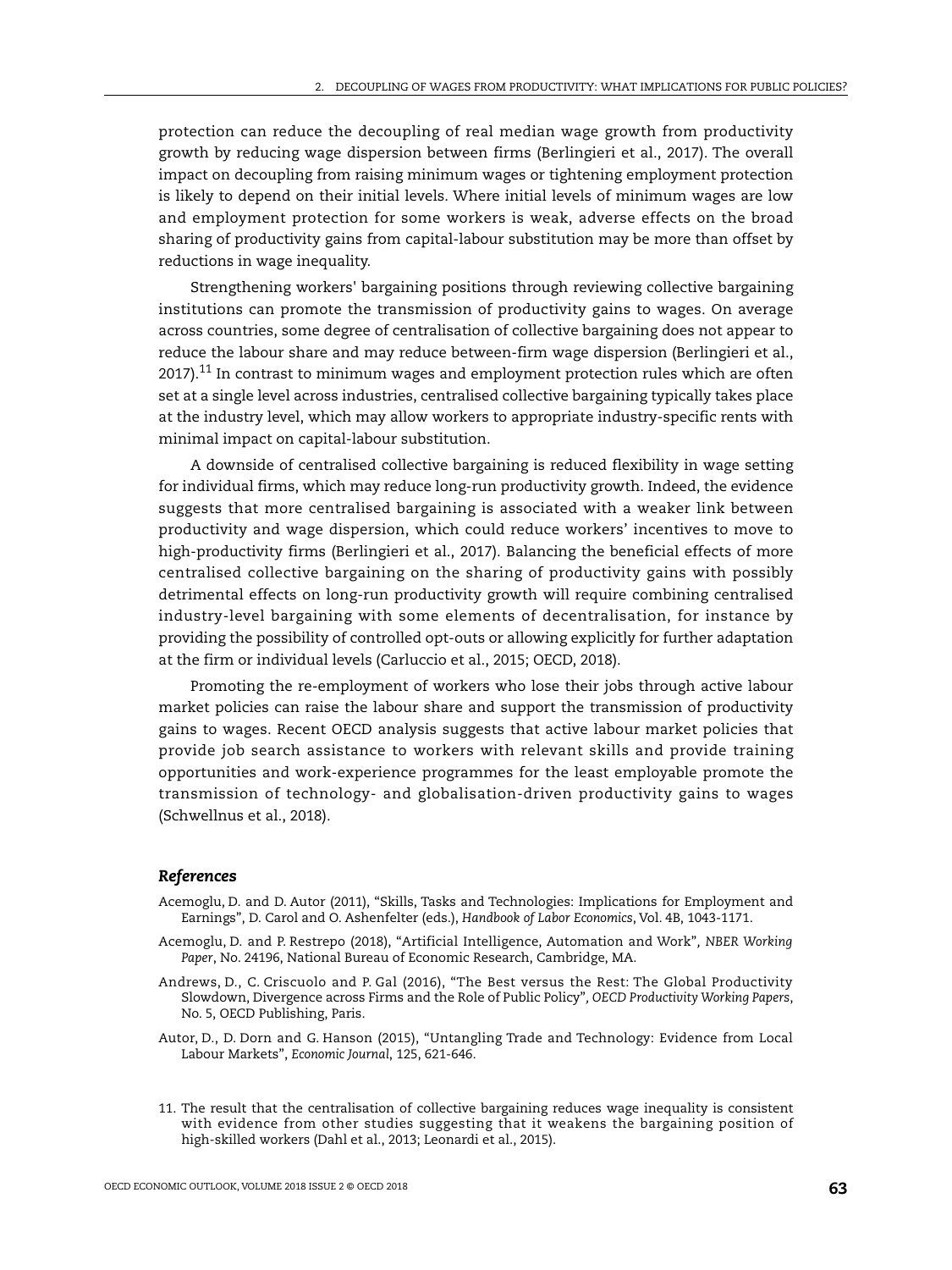protection can reduce the decoupling of real median wage growth from productivity growth by reducing wage dispersion between firms (Berlingieri et al., 2017). The overall impact on decoupling from raising minimum wages or tightening employment protection is likely to depend on their initial levels. Where initial levels of minimum wages are low and employment protection for some workers is weak, adverse effects on the broad sharing of productivity gains from capital-labour substitution may be more than offset by reductions in wage inequality.

Strengthening workers' bargaining positions through reviewing collective bargaining institutions can promote the transmission of productivity gains to wages. On average across countries, some degree of centralisation of collective bargaining does not appear to reduce the labour share and may reduce between-firm wage dispersion (Berlingieri et al.,  $2017$ ).<sup>11</sup> In contrast to minimum wages and employment protection rules which are often set at a single level across industries, centralised collective bargaining typically takes place at the industry level, which may allow workers to appropriate industry-specific rents with minimal impact on capital-labour substitution.

A downside of centralised collective bargaining is reduced flexibility in wage setting for individual firms, which may reduce long-run productivity growth. Indeed, the evidence suggests that more centralised bargaining is associated with a weaker link between productivity and wage dispersion, which could reduce workers' incentives to move to high-productivity firms (Berlingieri et al., 2017). Balancing the beneficial effects of more centralised collective bargaining on the sharing of productivity gains with possibly detrimental effects on long-run productivity growth will require combining centralised industry-level bargaining with some elements of decentralisation, for instance by providing the possibility of controlled opt-outs or allowing explicitly for further adaptation at the firm or individual levels (Carluccio et al., 2015; OECD, 2018).

Promoting the re-employment of workers who lose their jobs through active labour market policies can raise the labour share and support the transmission of productivity gains to wages. Recent OECD analysis suggests that active labour market policies that provide job search assistance to workers with relevant skills and provide training opportunities and work-experience programmes for the least employable promote the transmission of technology- and globalisation-driven productivity gains to wages (Schwellnus et al., 2018).

#### *References*

- [Acemoglu, D. and D. Autor \(2011\), "Skills, Tasks and Technologies: Implications for Employment and](http://dx.doi.org/10.1016/S0169-7218(11)02410-5) [Earnings", D. Carol and O. Ashenfelter \(eds.\),](http://dx.doi.org/10.1016/S0169-7218(11)02410-5) *Handbook of Labor Economics*, Vol. 4B, 1043-1171.
- [Acemoglu, D. and P. Restrepo \(2018\), "Artificial Intelligence, Automation and Work"](http://dx.doi.org/10.3386/w24196)*, NBER Working Paper*, No. 24196, National Bureau of Economic Research, Cambridge, MA.
- [Andrews, D., C. Criscuolo and P. Gal \(2016\), "The Best versus the Rest: The Global Productivity](http://dx.doi.org/10.1787/63629cc9-en) [Slowdown, Divergence across Firms and the Role of Public Policy"](http://dx.doi.org/10.1787/63629cc9-en)*, OECD Productivity Working Papers*, No. 5, OECD Publishing, Paris.
- [Autor, D., D. Dorn and G. Hanson \(2015\), "Untangling Trade and Technology: Evidence from Local](http://dx.doi.org/10.1111/ecoj.12245) [Labour Markets",](http://dx.doi.org/10.1111/ecoj.12245) *Economic Journal*, 125, 621-646.
- 11. The result that the centralisation of collective bargaining reduces wage inequality is consistent with evidence from other studies suggesting that it weakens the bargaining position of high-skilled workers (Dahl et al., 2013; Leonardi et al., 2015).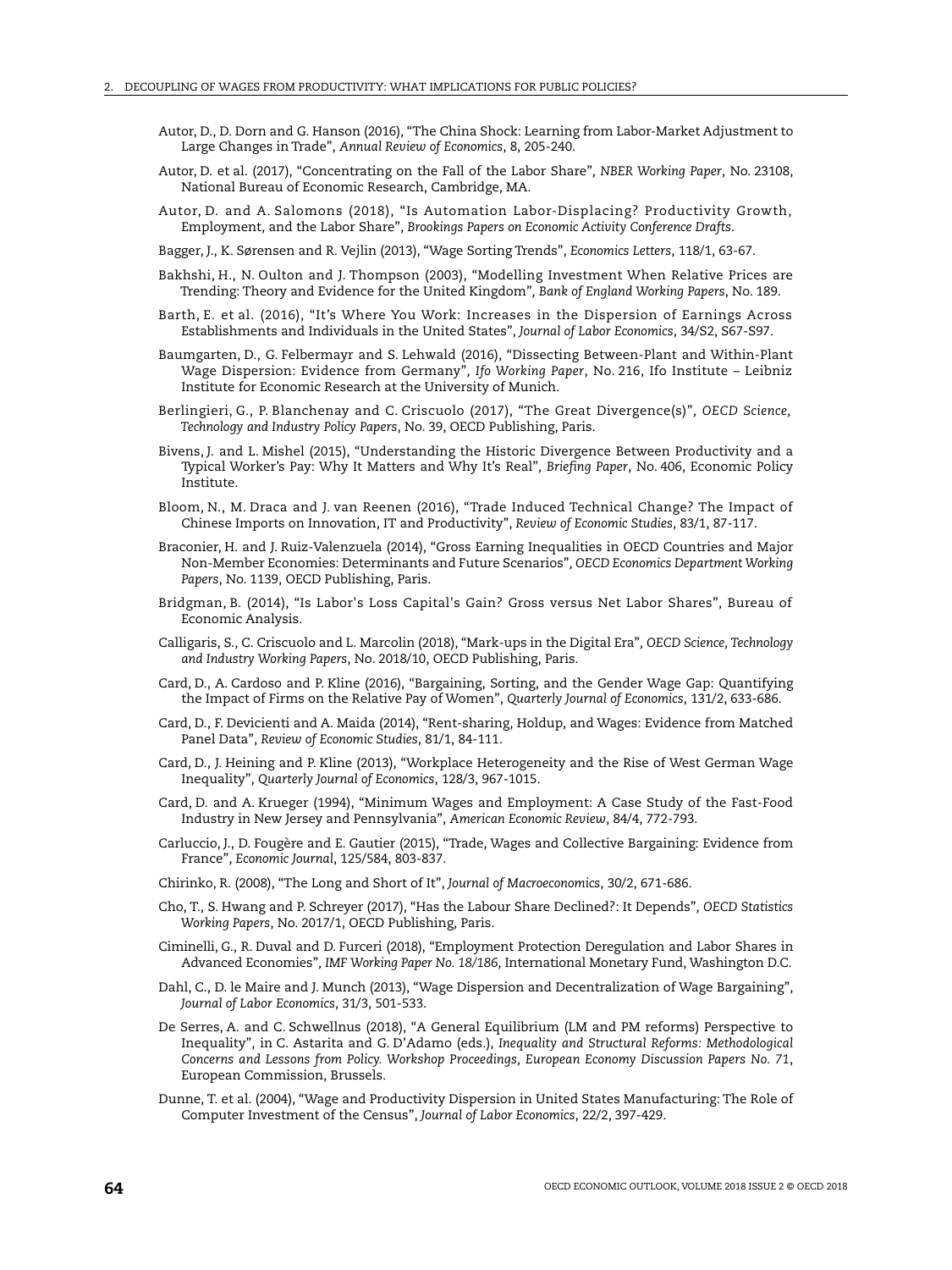- [Autor, D., D. Dorn and G. Hanson \(2016\), "The China Shock: Learning from Labor-Market Adjustment to](http://dx.doi.org/10.1146/annurev-economics-080315-015041) [Large Changes in Trade",](http://dx.doi.org/10.1146/annurev-economics-080315-015041) *Annual Review of Economics*, 8, 205-240.
- [Autor, D. et al. \(2017\), "Concentrating on the Fall of the Labor Share"](http://dx.doi.org/10.3386/w23108)*, NBER Working Paper*, No. 23108, National Bureau of Economic Research, Cambridge, MA.
- [Autor, D. and A. Salomons \(2018\), "Is Automation Labor-Displacing? Productivity Growth,](https://www.brookings.edu/wp-content/uploads/2018/03/1_autorsalomons.pdf) [Employment, and the Labor Share",](https://www.brookings.edu/wp-content/uploads/2018/03/1_autorsalomons.pdf) *Brookings Papers on Economic Activity Conference Drafts*.

[Bagger, J., K. Sørensen and R. Vejlin \(2013\), "Wage Sorting Trends",](http://dx.doi.org/10.1016/J.ECONLET.2012.09.021) *Economics Letters*, 118/1, 63-67.

- Bakhshi, H., N. Oulton and J. Thompson (2003), "Modelling Investment When Relative Prices are Trending: Theory and Evidence for the United Kingdom"*, Bank of England Working Papers*, No. 189.
- [Barth, E. et al. \(2016\), "It's Where You Work: Increases in the Dispersion of Earnings Across](http://dx.doi.org/10.1086/684045) [Establishments and Individuals in the United States",](http://dx.doi.org/10.1086/684045) *Journal of Labor Economics*, 34/S2, S67-S97.
- [Baumgarten, D., G. Felbermayr and S. Lehwald \(2016\), "Dissecting Between-Plant and Within-Plant](https://www.cesifo-group.de/DocDL/wp-2016-216-baumgarten-felbermayr-lehwald-wage-dispersion.pdf) [Wage Dispersion: Evidence from Germany"](https://www.cesifo-group.de/DocDL/wp-2016-216-baumgarten-felbermayr-lehwald-wage-dispersion.pdf)*, Ifo Working Paper*, No. 216, Ifo Institute – Leibniz Institute for Economic Research at the University of Munich.
- [Berlingieri, G., P. Blanchenay and C. Criscuolo \(2017\), "The Great Divergence\(s\)"](http://dx.doi.org/10.1787/953f3853-en)*, OECD Science, Technology and Industry Policy Papers*, No. 39, OECD Publishing, Paris.
- [Bivens, J. and L. Mishel \(2015\), "Understanding the Historic Divergence Between Productivity and a](https://www.epi.org/publication/understanding-the-historic-divergence-between-productivity-and-a-typical-workers-pay-why-it-matters-and-why-its-real/) [Typical Worker's Pay: Why It Matters and Why It's Real"](https://www.epi.org/publication/understanding-the-historic-divergence-between-productivity-and-a-typical-workers-pay-why-it-matters-and-why-its-real/)*, Briefing Paper*, No. 406, Economic Policy Institute.
- [Bloom, N., M. Draca and J. van Reenen \(2016\), "Trade Induced Technical Change? The Impact of](http://dx.doi.org/10.1093/restud/rdv039) [Chinese Imports on Innovation, IT and Productivity",](http://dx.doi.org/10.1093/restud/rdv039) *Review of Economic Studies*, 83/1, 87-117.
- [Braconier, H. and J. Ruiz-Valenzuela \(2014\), "Gross Earning Inequalities in OECD Countries and Major](http://dx.doi.org/10.1787/5jz123k7s8bv-en) [Non-Member Economies: Determinants and Future Scenarios"](http://dx.doi.org/10.1787/5jz123k7s8bv-en)*, OECD Economics Department Working Papers*, No. 1139, OECD Publishing, Paris.
- [Bridgman, B. \(2014\), "Is Labor's Loss Capital's Gain? Gross versus Net Labor Shares", Bureau of](https://www.bea.gov/system/files/papers/WP2014-10.pdf) Economic Analysis.
- [Calligaris, S., C. Criscuolo and L. Marcolin \(2018\), "Mark-ups in the Digital Era"](http://dx.doi.org/10.1787/4efe2d25-en)*, OECD Science, Technology and Industry Working Papers*, No. 2018/10, OECD Publishing, Paris.
- [Card, D., A. Cardoso and P. Kline \(2016\), "Bargaining, Sorting, and the Gender Wage Gap: Quantifying](http://dx.doi.org/10.1093/qje/qjv038) [the Impact of Firms on the Relative Pay of Women",](http://dx.doi.org/10.1093/qje/qjv038) *Quarterly Journal of Economics*, 131/2, 633-686.
- [Card, D., F. Devicienti and A. Maida \(2014\), "Rent-sharing, Holdup, and Wages: Evidence from Matched](http://dx.doi.org/10.1093/restud/rdt030) [Panel Data",](http://dx.doi.org/10.1093/restud/rdt030) *Review of Economic Studies*, 81/1, 84-111.
- [Card, D., J. Heining and P. Kline \(2013\), "Workplace Heterogeneity and the Rise of West German Wage](http://dx.doi.org/10.1093/qje/qjt006) [Inequality",](http://dx.doi.org/10.1093/qje/qjt006) *Quarterly Journal of Economics*, 128/3, 967-1015.
- [Card, D. and A. Krueger \(1994\), "Minimum Wages and Employment: A Case Study of the Fast-Food](http://links.jstor.org/sici?sici=0002-8282%28199409%2984%3A4%3C772%3AMWAEAC%3E2.0.CO%3B2-O) [Industry in New Jersey and Pennsylvania",](http://links.jstor.org/sici?sici=0002-8282%28199409%2984%3A4%3C772%3AMWAEAC%3E2.0.CO%3B2-O) *American Economic Review*, 84/4, 772-793.
- [Carluccio, J., D. Fougère and E. Gautier \(2015\), "Trade, Wages and Collective Bargaining: Evidence from](http://dx.doi.org/10.1111/ecoj.12262) [France",](http://dx.doi.org/10.1111/ecoj.12262) *Economic Journal*, 125/584, 803-837.
- [Chirinko, R. \(2008\), "The Long and Short of It",](http://dx.doi.org/10.1016/j.jmacro.2007.10.010) *Journal of Macroeconomics*, 30/2, 671-686.
- [Cho, T., S. Hwang and P. Schreyer \(2017\), "Has the Labour Share Declined?: It Depends"](http://dx.doi.org/10.1787/2dcfc715-en)*, OECD Statistics Working Papers*, No. 2017/1, OECD Publishing, Paris.
- [Ciminelli, G., R. Duval and D. Furceri \(2018\), "Employment Protection Deregulation and Labor Shares in](http://www.imf.org/en/Publications/WP/Issues/2018/08/16/Employment-Protection-Deregulation-and-Labor-Shares-in-Advanced-Economies-46074?cid=em-COM-123-37605) [Advanced Economies"](http://www.imf.org/en/Publications/WP/Issues/2018/08/16/Employment-Protection-Deregulation-and-Labor-Shares-in-Advanced-Economies-46074?cid=em-COM-123-37605)*, IMF Working Paper No. 18/186*, International Monetary Fund, Washington D.C.
- [Dahl, C., D. le Maire and J. Munch \(2013\), "Wage Dispersion and Decentralization of Wage Bargaining",](http://dx.doi.org/10.1086/669339) *Journal of Labor Economics*, 31/3, 501-533.
- [De Serres, A. and C. Schwellnus \(2018\), "A General Equilibrium \(LM and PM reforms\) Perspective to](https://ec.europa.eu/info/sites/info/files/economy-finance/dp071_en.pdf) [Inequality", in C. Astarita and G. D'Adamo \(eds.\),](https://ec.europa.eu/info/sites/info/files/economy-finance/dp071_en.pdf) *Inequality and Structural Reforms: Methodological Concerns and Lessons from Policy. Workshop Proceedings, European Economy Discussion Papers No. 71*, European Commission, Brussels.
- [Dunne, T. et al. \(2004\), "Wage and Productivity Dispersion in United States Manufacturing: The Role of](http://www.jstor.org/stable/3653629) [Computer Investment of the Census",](http://www.jstor.org/stable/3653629) *Journal of Labor Economics*, 22/2, 397-429.